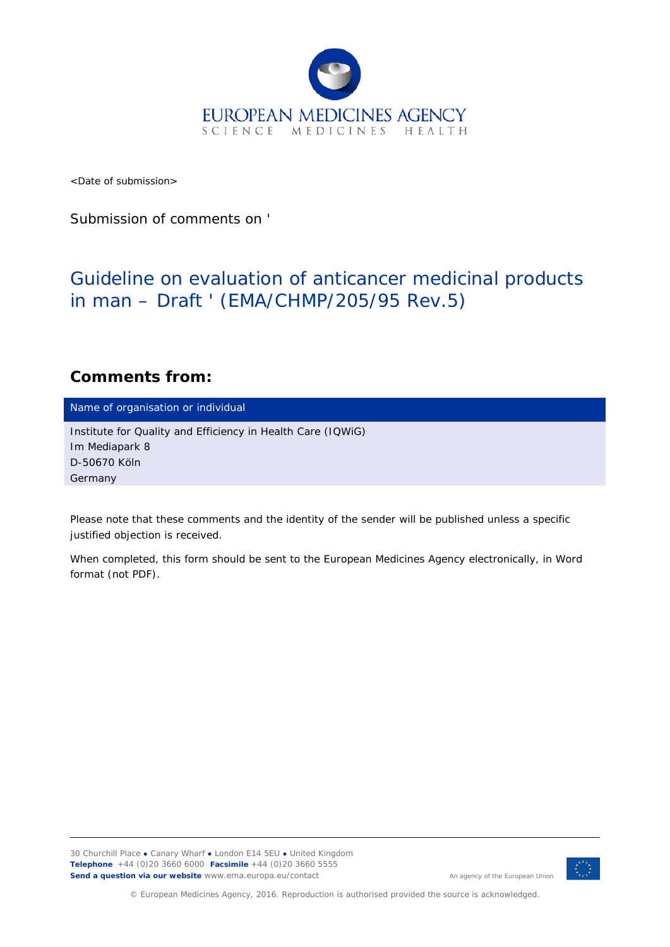

<Date of submission>

Submission of comments on '

## Guideline on evaluation of anticancer medicinal products in man – Draft ' (EMA/CHMP/205/95 Rev.5)

## **Comments from:**

Name of organisation or individual

Institute for Quality and Efficiency in Health Care (IQWiG) Im Mediapark 8 D-50670 Köln Germany

*Please note that these comments and the identity of the sender will be published unless a specific justified objection is received.*

*When completed, this form should be sent to the European Medicines Agency electronically, in Word format (not PDF).*

30 Churchill Place **●** Canary Wharf **●** London E14 5EU **●** United Kingdom **Telephone** +44 (0)20 3660 6000 **Facsimile** +44 (0)20 3660 5555 **Send a question via our website** www.ema.europa.eu/contact



© European Medicines Agency, 2016. Reproduction is authorised provided the source is acknowledged.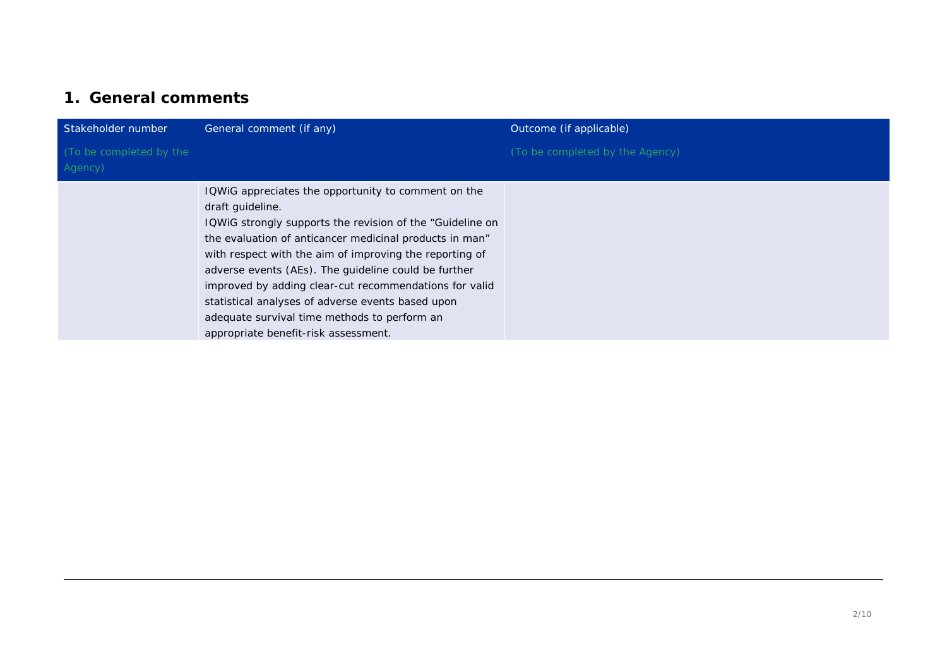## **1. General comments**

| Stakeholder number                 | General comment (if any)                                                                                                                                                                                                                                                                                                                                                                                                                                                                                                  | Outcome (if applicable)         |
|------------------------------------|---------------------------------------------------------------------------------------------------------------------------------------------------------------------------------------------------------------------------------------------------------------------------------------------------------------------------------------------------------------------------------------------------------------------------------------------------------------------------------------------------------------------------|---------------------------------|
| (To be completed by the<br>Agency) |                                                                                                                                                                                                                                                                                                                                                                                                                                                                                                                           | (To be completed by the Agency) |
|                                    | IQWIG appreciates the opportunity to comment on the<br>draft guideline.<br>IQWIG strongly supports the revision of the "Guideline on<br>the evaluation of anticancer medicinal products in man"<br>with respect with the aim of improving the reporting of<br>adverse events (AEs). The guideline could be further<br>improved by adding clear-cut recommendations for valid<br>statistical analyses of adverse events based upon<br>adequate survival time methods to perform an<br>appropriate benefit-risk assessment. |                                 |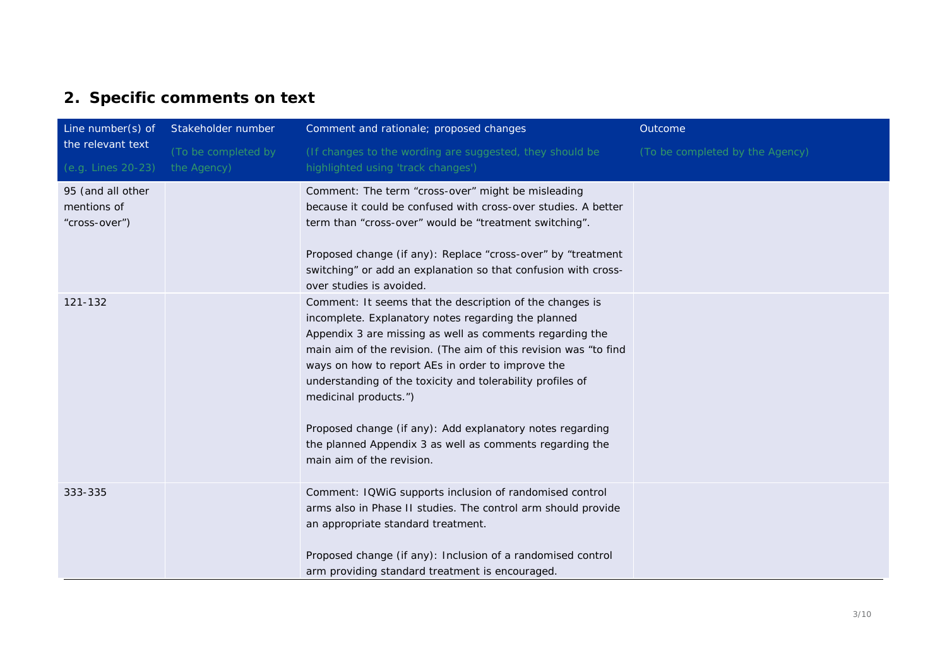## **2. Specific comments on text**

| Line number(s) of                                 | Stakeholder number                 | Comment and rationale; proposed changes                                                                                                                                                                                                                                                                                                                                                                                                                                                                                                           | Outcome                         |
|---------------------------------------------------|------------------------------------|---------------------------------------------------------------------------------------------------------------------------------------------------------------------------------------------------------------------------------------------------------------------------------------------------------------------------------------------------------------------------------------------------------------------------------------------------------------------------------------------------------------------------------------------------|---------------------------------|
| the relevant text<br>(e.g. Lines 20-23)           | (To be completed by<br>the Agency) | (If changes to the wording are suggested, they should be<br>highlighted using 'track changes')                                                                                                                                                                                                                                                                                                                                                                                                                                                    | (To be completed by the Agency) |
| 95 (and all other<br>mentions of<br>"cross-over") |                                    | Comment: The term "cross-over" might be misleading<br>because it could be confused with cross-over studies. A better<br>term than "cross-over" would be "treatment switching".<br>Proposed change (if any): Replace "cross-over" by "treatment<br>switching" or add an explanation so that confusion with cross-<br>over studies is avoided.                                                                                                                                                                                                      |                                 |
| 121-132                                           |                                    | Comment: It seems that the description of the changes is<br>incomplete. Explanatory notes regarding the planned<br>Appendix 3 are missing as well as comments regarding the<br>main aim of the revision. (The aim of this revision was "to find<br>ways on how to report AEs in order to improve the<br>understanding of the toxicity and tolerability profiles of<br>medicinal products.")<br>Proposed change (if any): Add explanatory notes regarding<br>the planned Appendix 3 as well as comments regarding the<br>main aim of the revision. |                                 |
| 333-335                                           |                                    | Comment: IQWiG supports inclusion of randomised control<br>arms also in Phase II studies. The control arm should provide<br>an appropriate standard treatment.<br>Proposed change (if any): Inclusion of a randomised control<br>arm providing standard treatment is encouraged.                                                                                                                                                                                                                                                                  |                                 |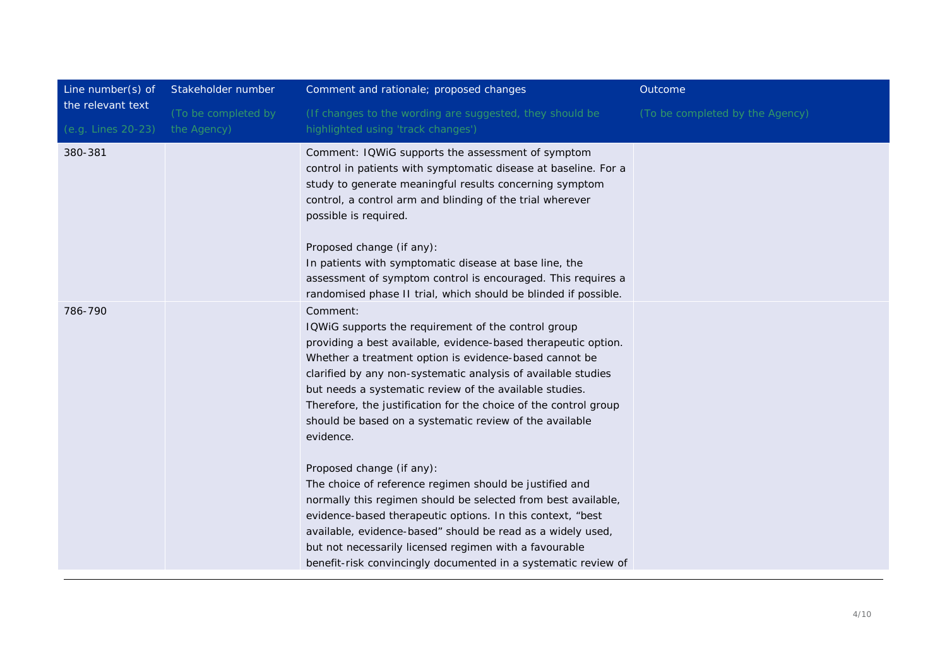| Line number(s) of<br>the relevant text | Stakeholder number  | Comment and rationale; proposed changes                                                                                                                                                                                                                                                                                                                                                                                                                                                                                                                                                                                                                                                                                                                                                                                                                                               | Outcome                         |
|----------------------------------------|---------------------|---------------------------------------------------------------------------------------------------------------------------------------------------------------------------------------------------------------------------------------------------------------------------------------------------------------------------------------------------------------------------------------------------------------------------------------------------------------------------------------------------------------------------------------------------------------------------------------------------------------------------------------------------------------------------------------------------------------------------------------------------------------------------------------------------------------------------------------------------------------------------------------|---------------------------------|
|                                        | (To be completed by | (If changes to the wording are suggested, they should be                                                                                                                                                                                                                                                                                                                                                                                                                                                                                                                                                                                                                                                                                                                                                                                                                              | (To be completed by the Agency) |
| (e.g. Lines 20-23)                     | the Agency)         | highlighted using 'track changes')                                                                                                                                                                                                                                                                                                                                                                                                                                                                                                                                                                                                                                                                                                                                                                                                                                                    |                                 |
| 380-381                                |                     | Comment: IQWiG supports the assessment of symptom<br>control in patients with symptomatic disease at baseline. For a<br>study to generate meaningful results concerning symptom<br>control, a control arm and blinding of the trial wherever<br>possible is required.                                                                                                                                                                                                                                                                                                                                                                                                                                                                                                                                                                                                                 |                                 |
|                                        |                     | Proposed change (if any):<br>In patients with symptomatic disease at base line, the<br>assessment of symptom control is encouraged. This requires a<br>randomised phase II trial, which should be blinded if possible.                                                                                                                                                                                                                                                                                                                                                                                                                                                                                                                                                                                                                                                                |                                 |
| 786-790                                |                     | Comment:<br>IQWIG supports the requirement of the control group<br>providing a best available, evidence-based therapeutic option.<br>Whether a treatment option is evidence-based cannot be<br>clarified by any non-systematic analysis of available studies<br>but needs a systematic review of the available studies.<br>Therefore, the justification for the choice of the control group<br>should be based on a systematic review of the available<br>evidence.<br>Proposed change (if any):<br>The choice of reference regimen should be justified and<br>normally this regimen should be selected from best available,<br>evidence-based therapeutic options. In this context, "best<br>available, evidence-based" should be read as a widely used,<br>but not necessarily licensed regimen with a favourable<br>benefit-risk convincingly documented in a systematic review of |                                 |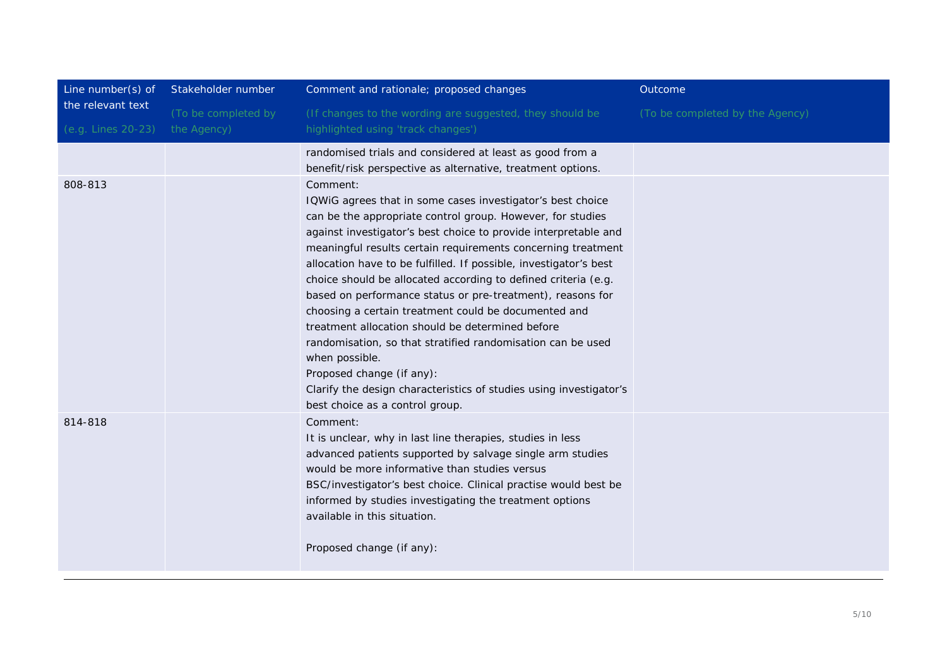| Line number(s) of  | Stakeholder number  | Comment and rationale; proposed changes                                       | Outcome                         |
|--------------------|---------------------|-------------------------------------------------------------------------------|---------------------------------|
| the relevant text  | (To be completed by | (If changes to the wording are suggested, they should be                      | (To be completed by the Agency) |
| (e.g. Lines 20-23) | the Agency)         | highlighted using 'track changes')                                            |                                 |
|                    |                     | randomised trials and considered at least as good from a                      |                                 |
|                    |                     | benefit/risk perspective as alternative, treatment options.                   |                                 |
| 808-813            |                     | Comment:                                                                      |                                 |
|                    |                     | IQWiG agrees that in some cases investigator's best choice                    |                                 |
|                    |                     | can be the appropriate control group. However, for studies                    |                                 |
|                    |                     | against investigator's best choice to provide interpretable and               |                                 |
|                    |                     | meaningful results certain requirements concerning treatment                  |                                 |
|                    |                     | allocation have to be fulfilled. If possible, investigator's best             |                                 |
|                    |                     | choice should be allocated according to defined criteria (e.g.                |                                 |
|                    |                     | based on performance status or pre-treatment), reasons for                    |                                 |
|                    |                     | choosing a certain treatment could be documented and                          |                                 |
|                    |                     | treatment allocation should be determined before                              |                                 |
|                    |                     | randomisation, so that stratified randomisation can be used<br>when possible. |                                 |
|                    |                     | Proposed change (if any):                                                     |                                 |
|                    |                     | Clarify the design characteristics of studies using investigator's            |                                 |
|                    |                     | best choice as a control group.                                               |                                 |
| 814-818            |                     | Comment:                                                                      |                                 |
|                    |                     | It is unclear, why in last line therapies, studies in less                    |                                 |
|                    |                     | advanced patients supported by salvage single arm studies                     |                                 |
|                    |                     | would be more informative than studies versus                                 |                                 |
|                    |                     | BSC/investigator's best choice. Clinical practise would best be               |                                 |
|                    |                     | informed by studies investigating the treatment options                       |                                 |
|                    |                     | available in this situation.                                                  |                                 |
|                    |                     | Proposed change (if any):                                                     |                                 |
|                    |                     |                                                                               |                                 |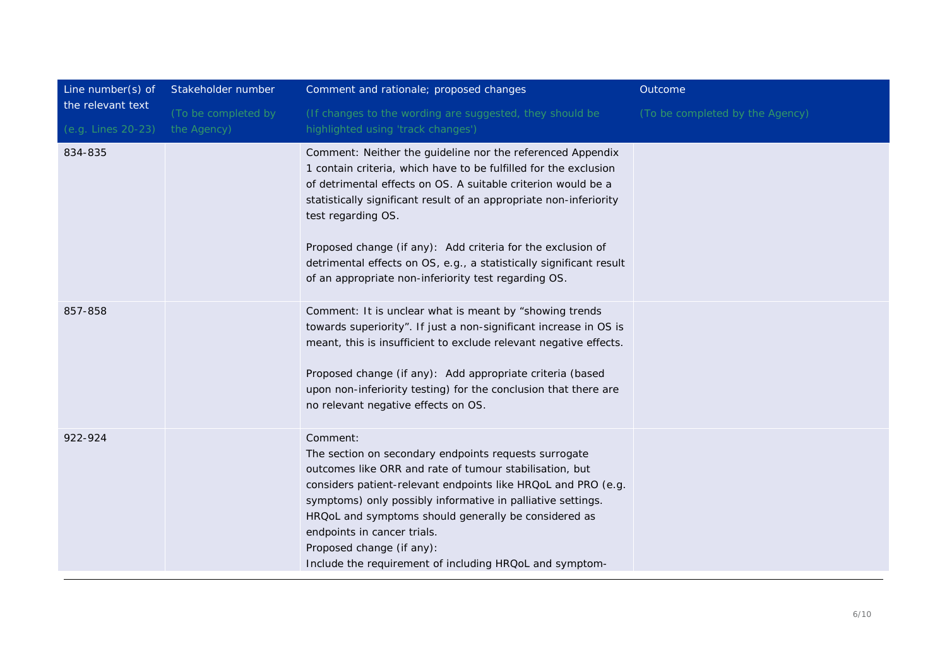| Line number(s) of                       | Stakeholder number                 | Comment and rationale; proposed changes                                                                                                                                                                                                                                                                                                                                                                                                                                                   | Outcome                         |
|-----------------------------------------|------------------------------------|-------------------------------------------------------------------------------------------------------------------------------------------------------------------------------------------------------------------------------------------------------------------------------------------------------------------------------------------------------------------------------------------------------------------------------------------------------------------------------------------|---------------------------------|
| the relevant text<br>(e.g. Lines 20-23) | (To be completed by<br>the Agency) | (If changes to the wording are suggested, they should be<br>highlighted using 'track changes')                                                                                                                                                                                                                                                                                                                                                                                            | (To be completed by the Agency) |
| 834-835                                 |                                    | Comment: Neither the guideline nor the referenced Appendix<br>1 contain criteria, which have to be fulfilled for the exclusion<br>of detrimental effects on OS. A suitable criterion would be a<br>statistically significant result of an appropriate non-inferiority<br>test regarding OS.<br>Proposed change (if any): Add criteria for the exclusion of<br>detrimental effects on OS, e.g., a statistically significant result<br>of an appropriate non-inferiority test regarding OS. |                                 |
| 857-858                                 |                                    | Comment: It is unclear what is meant by "showing trends<br>towards superiority". If just a non-significant increase in OS is<br>meant, this is insufficient to exclude relevant negative effects.<br>Proposed change (if any): Add appropriate criteria (based<br>upon non-inferiority testing) for the conclusion that there are<br>no relevant negative effects on OS.                                                                                                                  |                                 |
| 922-924                                 |                                    | Comment:<br>The section on secondary endpoints requests surrogate<br>outcomes like ORR and rate of tumour stabilisation, but<br>considers patient-relevant endpoints like HRQoL and PRO (e.g.<br>symptoms) only possibly informative in palliative settings.<br>HRQoL and symptoms should generally be considered as<br>endpoints in cancer trials.<br>Proposed change (if any):<br>Include the requirement of including HRQoL and symptom-                                               |                                 |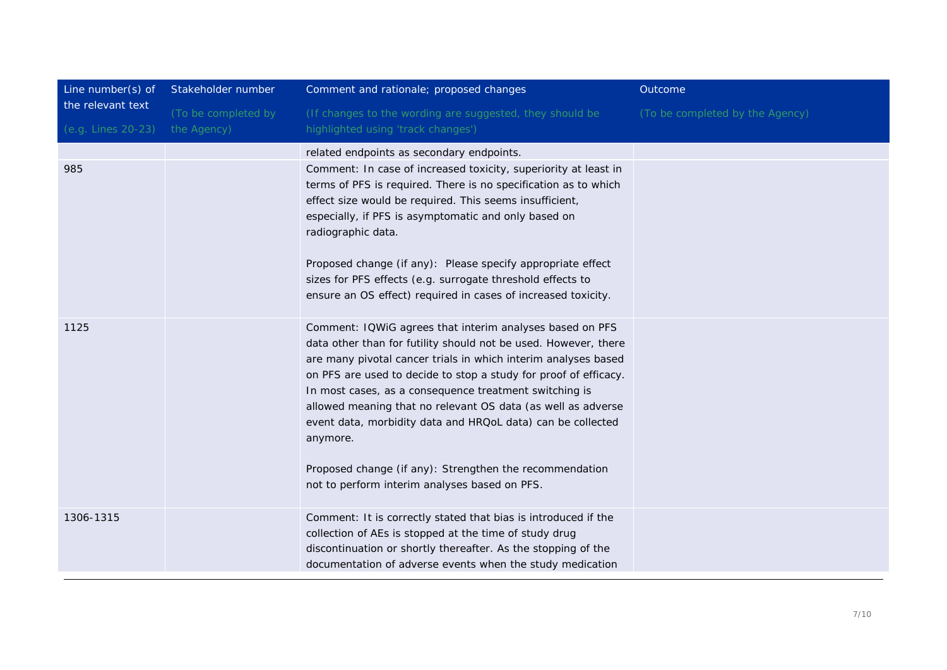| Line number(s) of                       | Stakeholder number                 | Comment and rationale; proposed changes                                                                                                                                                                                                                                                                                                                                                                                                                                                                                                                                            | Outcome                         |
|-----------------------------------------|------------------------------------|------------------------------------------------------------------------------------------------------------------------------------------------------------------------------------------------------------------------------------------------------------------------------------------------------------------------------------------------------------------------------------------------------------------------------------------------------------------------------------------------------------------------------------------------------------------------------------|---------------------------------|
| the relevant text<br>(e.g. Lines 20-23) | (To be completed by<br>the Agency) | (If changes to the wording are suggested, they should be<br>highlighted using 'track changes')                                                                                                                                                                                                                                                                                                                                                                                                                                                                                     | (To be completed by the Agency) |
| 985                                     |                                    | related endpoints as secondary endpoints.<br>Comment: In case of increased toxicity, superiority at least in<br>terms of PFS is required. There is no specification as to which<br>effect size would be required. This seems insufficient,<br>especially, if PFS is asymptomatic and only based on<br>radiographic data.<br>Proposed change (if any): Please specify appropriate effect<br>sizes for PFS effects (e.g. surrogate threshold effects to<br>ensure an OS effect) required in cases of increased toxicity.                                                             |                                 |
| 1125                                    |                                    | Comment: IQWiG agrees that interim analyses based on PFS<br>data other than for futility should not be used. However, there<br>are many pivotal cancer trials in which interim analyses based<br>on PFS are used to decide to stop a study for proof of efficacy.<br>In most cases, as a consequence treatment switching is<br>allowed meaning that no relevant OS data (as well as adverse<br>event data, morbidity data and HRQoL data) can be collected<br>anymore.<br>Proposed change (if any): Strengthen the recommendation<br>not to perform interim analyses based on PFS. |                                 |
| 1306-1315                               |                                    | Comment: It is correctly stated that bias is introduced if the<br>collection of AEs is stopped at the time of study drug<br>discontinuation or shortly thereafter. As the stopping of the<br>documentation of adverse events when the study medication                                                                                                                                                                                                                                                                                                                             |                                 |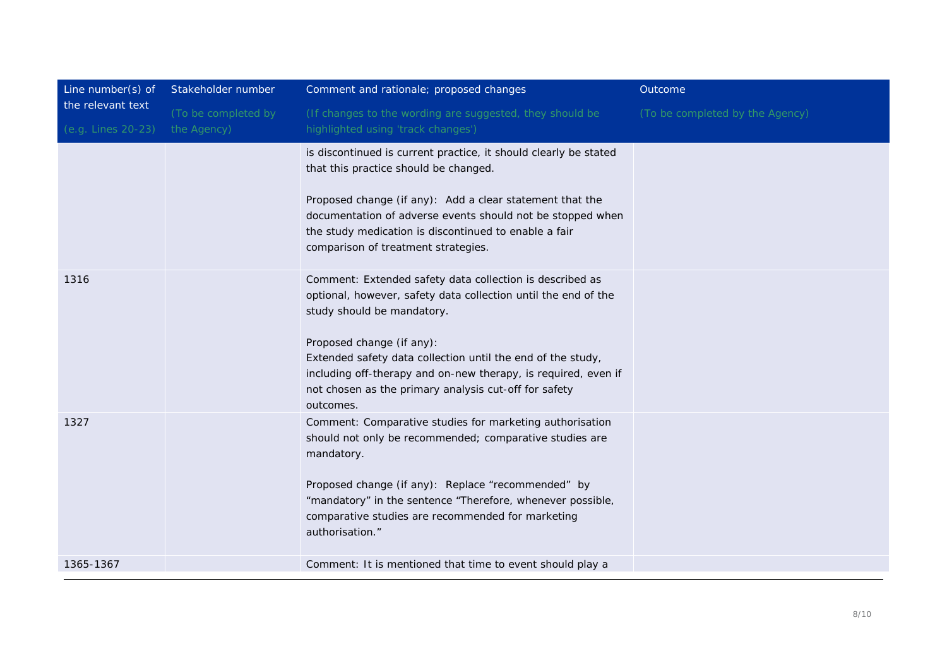| Line number(s) of<br>the relevant text<br>(e.g. Lines 20-23) | Stakeholder number                 | Comment and rationale; proposed changes                                                                                                                                                                                                                                                                                                                                                      | Outcome                         |
|--------------------------------------------------------------|------------------------------------|----------------------------------------------------------------------------------------------------------------------------------------------------------------------------------------------------------------------------------------------------------------------------------------------------------------------------------------------------------------------------------------------|---------------------------------|
|                                                              | (To be completed by<br>the Agency) | (If changes to the wording are suggested, they should be<br>highlighted using 'track changes')                                                                                                                                                                                                                                                                                               | (To be completed by the Agency) |
|                                                              |                                    | is discontinued is current practice, it should clearly be stated<br>that this practice should be changed.<br>Proposed change (if any): Add a clear statement that the<br>documentation of adverse events should not be stopped when<br>the study medication is discontinued to enable a fair<br>comparison of treatment strategies.                                                          |                                 |
| 1316                                                         |                                    | Comment: Extended safety data collection is described as<br>optional, however, safety data collection until the end of the<br>study should be mandatory.<br>Proposed change (if any):<br>Extended safety data collection until the end of the study,<br>including off-therapy and on-new therapy, is required, even if<br>not chosen as the primary analysis cut-off for safety<br>outcomes. |                                 |
| 1327                                                         |                                    | Comment: Comparative studies for marketing authorisation<br>should not only be recommended; comparative studies are<br>mandatory.<br>Proposed change (if any): Replace "recommended" by<br>"mandatory" in the sentence "Therefore, whenever possible,<br>comparative studies are recommended for marketing<br>authorisation."                                                                |                                 |
| 1365-1367                                                    |                                    | Comment: It is mentioned that time to event should play a                                                                                                                                                                                                                                                                                                                                    |                                 |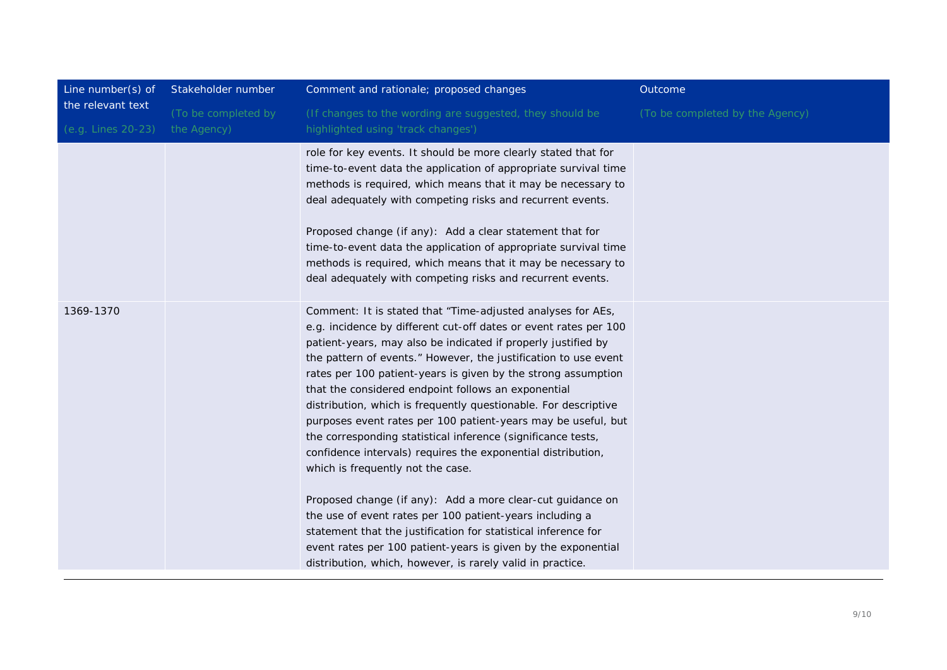| Line number(s) of<br>the relevant text | Stakeholder number  | Comment and rationale; proposed changes                                                                                                                                                                                                                                                                                                                                                                                                                                                                                                                                                                                                                                                                                                                                                                                                                                                                                                                                                                                         | Outcome                         |
|----------------------------------------|---------------------|---------------------------------------------------------------------------------------------------------------------------------------------------------------------------------------------------------------------------------------------------------------------------------------------------------------------------------------------------------------------------------------------------------------------------------------------------------------------------------------------------------------------------------------------------------------------------------------------------------------------------------------------------------------------------------------------------------------------------------------------------------------------------------------------------------------------------------------------------------------------------------------------------------------------------------------------------------------------------------------------------------------------------------|---------------------------------|
|                                        | (To be completed by | (If changes to the wording are suggested, they should be                                                                                                                                                                                                                                                                                                                                                                                                                                                                                                                                                                                                                                                                                                                                                                                                                                                                                                                                                                        | (To be completed by the Agency) |
| (e.g. Lines 20-23)                     | the Agency)         | highlighted using 'track changes')                                                                                                                                                                                                                                                                                                                                                                                                                                                                                                                                                                                                                                                                                                                                                                                                                                                                                                                                                                                              |                                 |
|                                        |                     | role for key events. It should be more clearly stated that for<br>time-to-event data the application of appropriate survival time<br>methods is required, which means that it may be necessary to<br>deal adequately with competing risks and recurrent events.<br>Proposed change (if any): Add a clear statement that for<br>time-to-event data the application of appropriate survival time<br>methods is required, which means that it may be necessary to<br>deal adequately with competing risks and recurrent events.                                                                                                                                                                                                                                                                                                                                                                                                                                                                                                    |                                 |
| 1369-1370                              |                     | Comment: It is stated that "Time-adjusted analyses for AEs,<br>e.g. incidence by different cut-off dates or event rates per 100<br>patient-years, may also be indicated if properly justified by<br>the pattern of events." However, the justification to use event<br>rates per 100 patient-years is given by the strong assumption<br>that the considered endpoint follows an exponential<br>distribution, which is frequently questionable. For descriptive<br>purposes event rates per 100 patient-years may be useful, but<br>the corresponding statistical inference (significance tests,<br>confidence intervals) requires the exponential distribution,<br>which is frequently not the case.<br>Proposed change (if any): Add a more clear-cut guidance on<br>the use of event rates per 100 patient-years including a<br>statement that the justification for statistical inference for<br>event rates per 100 patient-years is given by the exponential<br>distribution, which, however, is rarely valid in practice. |                                 |